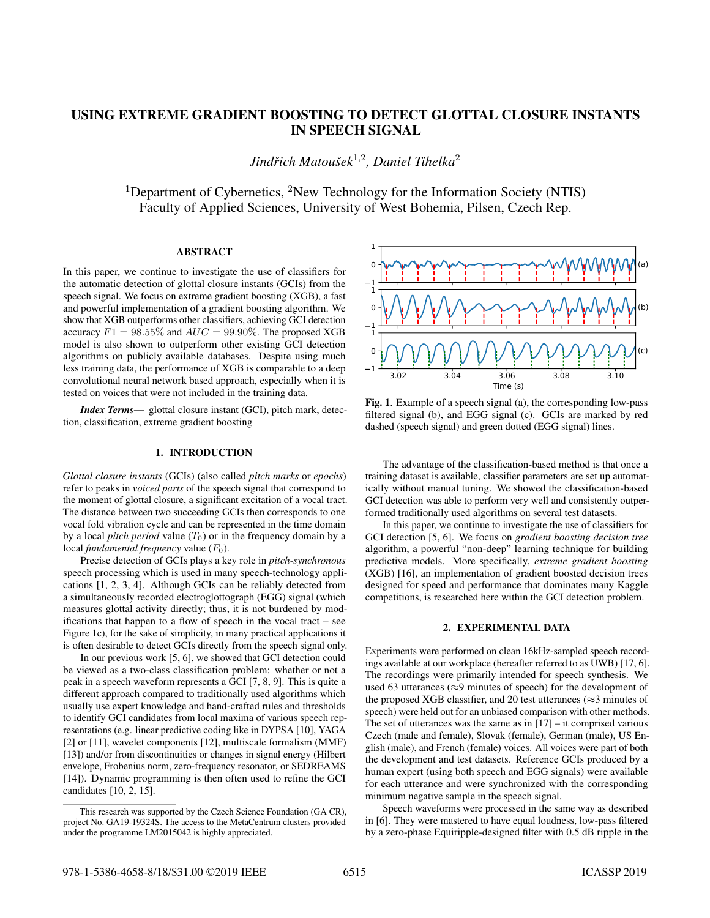# USING EXTREME GRADIENT BOOSTING TO DETECT GLOTTAL CLOSURE INSTANTS IN SPEECH SIGNAL

 $J$ indřich Matoušek<sup>1,2</sup>, Daniel Tihelka<sup>2</sup>

<sup>1</sup>Department of Cybernetics, <sup>2</sup>New Technology for the Information Society (NTIS) Faculty of Applied Sciences, University of West Bohemia, Pilsen, Czech Rep.

## ABSTRACT

In this paper, we continue to investigate the use of classifiers for the automatic detection of glottal closure instants (GCIs) from the speech signal. We focus on extreme gradient boosting (XGB), a fast and powerful implementation of a gradient boosting algorithm. We show that XGB outperforms other classifiers, achieving GCI detection accuracy  $F1 = 98.55\%$  and  $AUC = 99.90\%$ . The proposed XGB model is also shown to outperform other existing GCI detection algorithms on publicly available databases. Despite using much less training data, the performance of XGB is comparable to a deep convolutional neural network based approach, especially when it is tested on voices that were not included in the training data.

*Index Terms*— glottal closure instant (GCI), pitch mark, detection, classification, extreme gradient boosting

## 1. INTRODUCTION

*Glottal closure instants* (GCIs) (also called *pitch marks* or *epochs*) refer to peaks in *voiced parts* of the speech signal that correspond to the moment of glottal closure, a significant excitation of a vocal tract. The distance between two succeeding GCIs then corresponds to one vocal fold vibration cycle and can be represented in the time domain by a local *pitch period* value  $(T_0)$  or in the frequency domain by a local *fundamental frequency* value ( $F_0$ ).

Precise detection of GCIs plays a key role in *pitch-synchronous* speech processing which is used in many speech-technology applications [1, 2, 3, 4]. Although GCIs can be reliably detected from a simultaneously recorded electroglottograph (EGG) signal (which measures glottal activity directly; thus, it is not burdened by modifications that happen to a flow of speech in the vocal tract – see Figure 1c), for the sake of simplicity, in many practical applications it is often desirable to detect GCIs directly from the speech signal only.

In our previous work [5, 6], we showed that GCI detection could be viewed as a two-class classification problem: whether or not a peak in a speech waveform represents a GCI [7, 8, 9]. This is quite a different approach compared to traditionally used algorithms which usually use expert knowledge and hand-crafted rules and thresholds to identify GCI candidates from local maxima of various speech representations (e.g. linear predictive coding like in DYPSA [10], YAGA [2] or [11], wavelet components [12], multiscale formalism (MMF) [13]) and/or from discontinuities or changes in signal energy (Hilbert envelope, Frobenius norm, zero-frequency resonator, or SEDREAMS [14]). Dynamic programming is then often used to refine the GCI candidates [10, 2, 15].



Fig. 1. Example of a speech signal (a), the corresponding low-pass filtered signal (b), and EGG signal (c). GCIs are marked by red dashed (speech signal) and green dotted (EGG signal) lines.

The advantage of the classification-based method is that once a training dataset is available, classifier parameters are set up automatically without manual tuning. We showed the classification-based GCI detection was able to perform very well and consistently outperformed traditionally used algorithms on several test datasets.

In this paper, we continue to investigate the use of classifiers for GCI detection [5, 6]. We focus on *gradient boosting decision tree* algorithm, a powerful "non-deep" learning technique for building predictive models. More specifically, *extreme gradient boosting* (XGB) [16], an implementation of gradient boosted decision trees designed for speed and performance that dominates many Kaggle competitions, is researched here within the GCI detection problem.

## 2. EXPERIMENTAL DATA

Experiments were performed on clean 16kHz-sampled speech recordings available at our workplace (hereafter referred to as UWB) [17, 6]. The recordings were primarily intended for speech synthesis. We used 63 utterances (≈9 minutes of speech) for the development of the proposed XGB classifier, and 20 test utterances ( $\approx$ 3 minutes of speech) were held out for an unbiased comparison with other methods. The set of utterances was the same as in  $[17]$  – it comprised various Czech (male and female), Slovak (female), German (male), US English (male), and French (female) voices. All voices were part of both the development and test datasets. Reference GCIs produced by a human expert (using both speech and EGG signals) were available for each utterance and were synchronized with the corresponding minimum negative sample in the speech signal.

Speech waveforms were processed in the same way as described in [6]. They were mastered to have equal loudness, low-pass filtered by a zero-phase Equiripple-designed filter with 0.5 dB ripple in the

This research was supported by the Czech Science Foundation (GA CR), project No. GA19-19324S. The access to the MetaCentrum clusters provided under the programme LM2015042 is highly appreciated.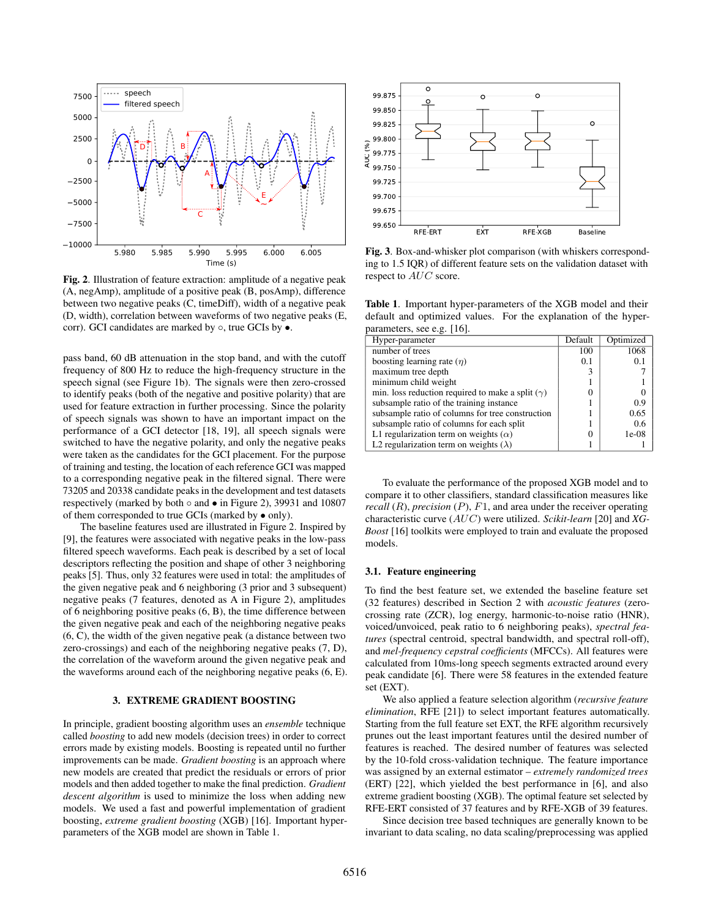

Fig. 2. Illustration of feature extraction: amplitude of a negative peak (A, negAmp), amplitude of a positive peak (B, posAmp), difference between two negative peaks (C, timeDiff), width of a negative peak (D, width), correlation between waveforms of two negative peaks (E, corr). GCI candidates are marked by ○, true GCIs by ●.

pass band, 60 dB attenuation in the stop band, and with the cutoff frequency of 800 Hz to reduce the high-frequency structure in the speech signal (see Figure 1b). The signals were then zero-crossed to identify peaks (both of the negative and positive polarity) that are used for feature extraction in further processing. Since the polarity of speech signals was shown to have an important impact on the performance of a GCI detector [18, 19], all speech signals were switched to have the negative polarity, and only the negative peaks were taken as the candidates for the GCI placement. For the purpose of training and testing, the location of each reference GCI was mapped to a corresponding negative peak in the filtered signal. There were 73205 and 20338 candidate peaks in the development and test datasets respectively (marked by both ◦ and • in Figure 2), 39931 and 10807 of them corresponded to true GCIs (marked by • only).

The baseline features used are illustrated in Figure 2. Inspired by [9], the features were associated with negative peaks in the low-pass filtered speech waveforms. Each peak is described by a set of local descriptors reflecting the position and shape of other 3 neighboring peaks [5]. Thus, only 32 features were used in total: the amplitudes of the given negative peak and 6 neighboring (3 prior and 3 subsequent) negative peaks (7 features, denoted as A in Figure 2), amplitudes of 6 neighboring positive peaks (6, B), the time difference between the given negative peak and each of the neighboring negative peaks (6, C), the width of the given negative peak (a distance between two zero-crossings) and each of the neighboring negative peaks (7, D), the correlation of the waveform around the given negative peak and the waveforms around each of the neighboring negative peaks (6, E).

## 3. EXTREME GRADIENT BOOSTING

In principle, gradient boosting algorithm uses an *ensemble* technique called *boosting* to add new models (decision trees) in order to correct errors made by existing models. Boosting is repeated until no further improvements can be made. *Gradient boosting* is an approach where new models are created that predict the residuals or errors of prior models and then added together to make the final prediction. *Gradient descent algorithm* is used to minimize the loss when adding new models. We used a fast and powerful implementation of gradient boosting, *extreme gradient boosting* (XGB) [16]. Important hyperparameters of the XGB model are shown in Table 1.



Fig. 3. Box-and-whisker plot comparison (with whiskers corresponding to 1.5 IQR) of different feature sets on the validation dataset with respect to AUC score.

Table 1. Important hyper-parameters of the XGB model and their default and optimized values. For the explanation of the hyperparameters, see e.g. [16].

| Hyper-parameter                                         | Default | Optimized |
|---------------------------------------------------------|---------|-----------|
| number of trees                                         | 100     | 1068      |
| boosting learning rate $(\eta)$                         | 0.1     | 0.1       |
| maximum tree depth                                      |         |           |
| minimum child weight                                    |         |           |
| min. loss reduction required to make a split $(\gamma)$ |         |           |
| subsample ratio of the training instance                |         | 0.9       |
| subsample ratio of columns for tree construction        |         | 0.65      |
| subsample ratio of columns for each split               |         | 0.6       |
| L1 regularization term on weights $(\alpha)$            |         | $1e-08$   |
| L2 regularization term on weights ( $\lambda$ )         |         |           |

To evaluate the performance of the proposed XGB model and to compare it to other classifiers, standard classification measures like *recall*  $(R)$ , *precision*  $(P)$ ,  $F1$ , and area under the receiver operating characteristic curve (AUC) were utilized. *Scikit-learn* [20] and *XG-Boost* [16] toolkits were employed to train and evaluate the proposed models.

## 3.1. Feature engineering

To find the best feature set, we extended the baseline feature set (32 features) described in Section 2 with *acoustic features* (zerocrossing rate (ZCR), log energy, harmonic-to-noise ratio (HNR), voiced/unvoiced, peak ratio to 6 neighboring peaks), *spectral features* (spectral centroid, spectral bandwidth, and spectral roll-off), and *mel-frequency cepstral coefficients* (MFCCs). All features were calculated from 10ms-long speech segments extracted around every peak candidate [6]. There were 58 features in the extended feature set (EXT).

We also applied a feature selection algorithm (*recursive feature elimination*, RFE [21]) to select important features automatically. Starting from the full feature set EXT, the RFE algorithm recursively prunes out the least important features until the desired number of features is reached. The desired number of features was selected by the 10-fold cross-validation technique. The feature importance was assigned by an external estimator – *extremely randomized trees* (ERT) [22], which yielded the best performance in [6], and also extreme gradient boosting (XGB). The optimal feature set selected by RFE-ERT consisted of 37 features and by RFE-XGB of 39 features.

Since decision tree based techniques are generally known to be invariant to data scaling, no data scaling/preprocessing was applied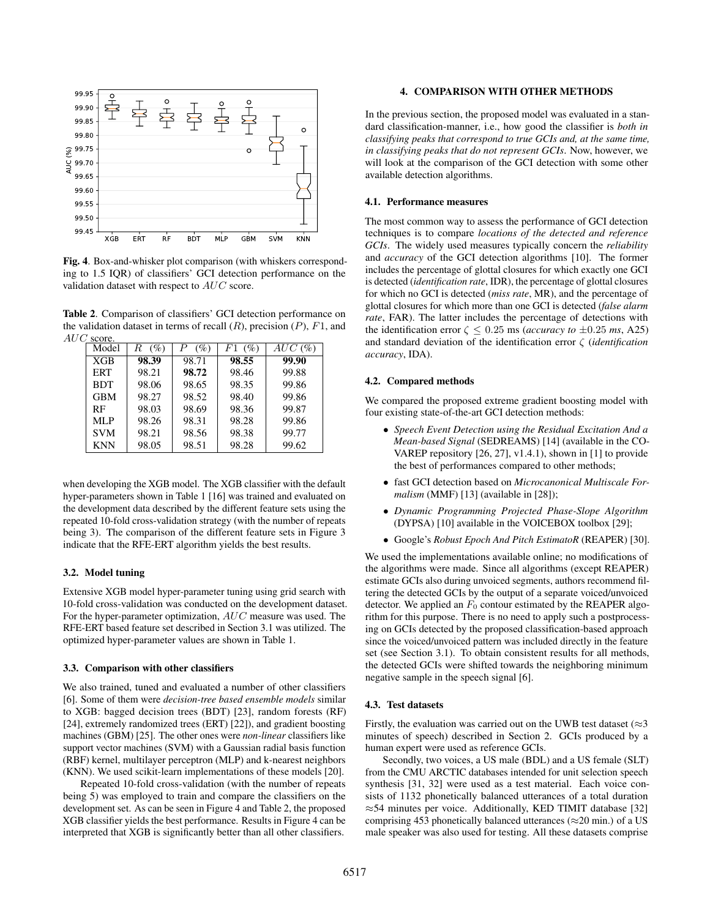

Fig. 4. Box-and-whisker plot comparison (with whiskers corresponding to 1.5 IQR) of classifiers' GCI detection performance on the validation dataset with respect to AUC score.

Table 2. Comparison of classifiers' GCI detection performance on the validation dataset in terms of recall  $(R)$ , precision  $(P)$ ,  $F1$ , and AUC score.

| $\sim$<br>$\cdots \cdots$ |             |             |              |        |  |  |
|---------------------------|-------------|-------------|--------------|--------|--|--|
| Model                     | $(\%)$<br>R | P<br>$(\%)$ | $(\%)$<br>F1 | AUC(%) |  |  |
| <b>XGB</b>                | 98.39       | 98.71       | 98.55        | 99.90  |  |  |
| <b>ERT</b>                | 98.21       | 98.72       | 98.46        | 99.88  |  |  |
| <b>BDT</b>                | 98.06       | 98.65       | 98.35        | 99.86  |  |  |
| <b>GBM</b>                | 98.27       | 98.52       | 98.40        | 99.86  |  |  |
| RF                        | 98.03       | 98.69       | 98.36        | 99.87  |  |  |
| MLP                       | 98.26       | 98.31       | 98.28        | 99.86  |  |  |
| <b>SVM</b>                | 98.21       | 98.56       | 98.38        | 99.77  |  |  |
| <b>KNN</b>                | 98.05       | 98.51       | 98.28        | 99.62  |  |  |

when developing the XGB model. The XGB classifier with the default hyper-parameters shown in Table 1 [16] was trained and evaluated on the development data described by the different feature sets using the repeated 10-fold cross-validation strategy (with the number of repeats being 3). The comparison of the different feature sets in Figure 3 indicate that the RFE-ERT algorithm yields the best results.

## 3.2. Model tuning

Extensive XGB model hyper-parameter tuning using grid search with 10-fold cross-validation was conducted on the development dataset. For the hyper-parameter optimization, AUC measure was used. The RFE-ERT based feature set described in Section 3.1 was utilized. The optimized hyper-parameter values are shown in Table 1.

#### 3.3. Comparison with other classifiers

We also trained, tuned and evaluated a number of other classifiers [6]. Some of them were *decision-tree based ensemble models* similar to XGB: bagged decision trees (BDT) [23], random forests (RF) [24], extremely randomized trees (ERT) [22]), and gradient boosting machines (GBM) [25]. The other ones were *non-linear* classifiers like support vector machines (SVM) with a Gaussian radial basis function (RBF) kernel, multilayer perceptron (MLP) and k-nearest neighbors (KNN). We used scikit-learn implementations of these models [20].

Repeated 10-fold cross-validation (with the number of repeats being 5) was employed to train and compare the classifiers on the development set. As can be seen in Figure 4 and Table 2, the proposed XGB classifier yields the best performance. Results in Figure 4 can be interpreted that XGB is significantly better than all other classifiers.

#### 4. COMPARISON WITH OTHER METHODS

In the previous section, the proposed model was evaluated in a standard classification-manner, i.e., how good the classifier is *both in classifying peaks that correspond to true GCIs and, at the same time, in classifying peaks that do not represent GCIs*. Now, however, we will look at the comparison of the GCI detection with some other available detection algorithms.

#### 4.1. Performance measures

The most common way to assess the performance of GCI detection techniques is to compare *locations of the detected and reference GCIs*. The widely used measures typically concern the *reliability* and *accuracy* of the GCI detection algorithms [10]. The former includes the percentage of glottal closures for which exactly one GCI is detected (*identification rate*, IDR), the percentage of glottal closures for which no GCI is detected (*miss rate*, MR), and the percentage of glottal closures for which more than one GCI is detected (*false alarm rate*, FAR). The latter includes the percentage of detections with the identification error  $\zeta \leq 0.25$  ms (*accuracy to*  $\pm 0.25$  *ms*, A25) and standard deviation of the identification error ζ (*identification accuracy*, IDA).

#### 4.2. Compared methods

We compared the proposed extreme gradient boosting model with four existing state-of-the-art GCI detection methods:

- *Speech Event Detection using the Residual Excitation And a Mean-based Signal* (SEDREAMS) [14] (available in the CO-VAREP repository [26, 27], v1.4.1), shown in [1] to provide the best of performances compared to other methods;
- fast GCI detection based on *Microcanonical Multiscale Formalism* (MMF) [13] (available in [28]);
- *Dynamic Programming Projected Phase-Slope Algorithm* (DYPSA) [10] available in the VOICEBOX toolbox [29];
- Google's *Robust Epoch And Pitch EstimatoR* (REAPER) [30].

We used the implementations available online; no modifications of the algorithms were made. Since all algorithms (except REAPER) estimate GCIs also during unvoiced segments, authors recommend filtering the detected GCIs by the output of a separate voiced/unvoiced detector. We applied an  $F_0$  contour estimated by the REAPER algorithm for this purpose. There is no need to apply such a postprocessing on GCIs detected by the proposed classification-based approach since the voiced/unvoiced pattern was included directly in the feature set (see Section 3.1). To obtain consistent results for all methods, the detected GCIs were shifted towards the neighboring minimum negative sample in the speech signal [6].

#### 4.3. Test datasets

Firstly, the evaluation was carried out on the UWB test dataset ( $\approx$ 3 minutes of speech) described in Section 2. GCIs produced by a human expert were used as reference GCIs.

Secondly, two voices, a US male (BDL) and a US female (SLT) from the CMU ARCTIC databases intended for unit selection speech synthesis [31, 32] were used as a test material. Each voice consists of 1132 phonetically balanced utterances of a total duration ≈54 minutes per voice. Additionally, KED TIMIT database [32] comprising 453 phonetically balanced utterances ( $\approx$ 20 min.) of a US male speaker was also used for testing. All these datasets comprise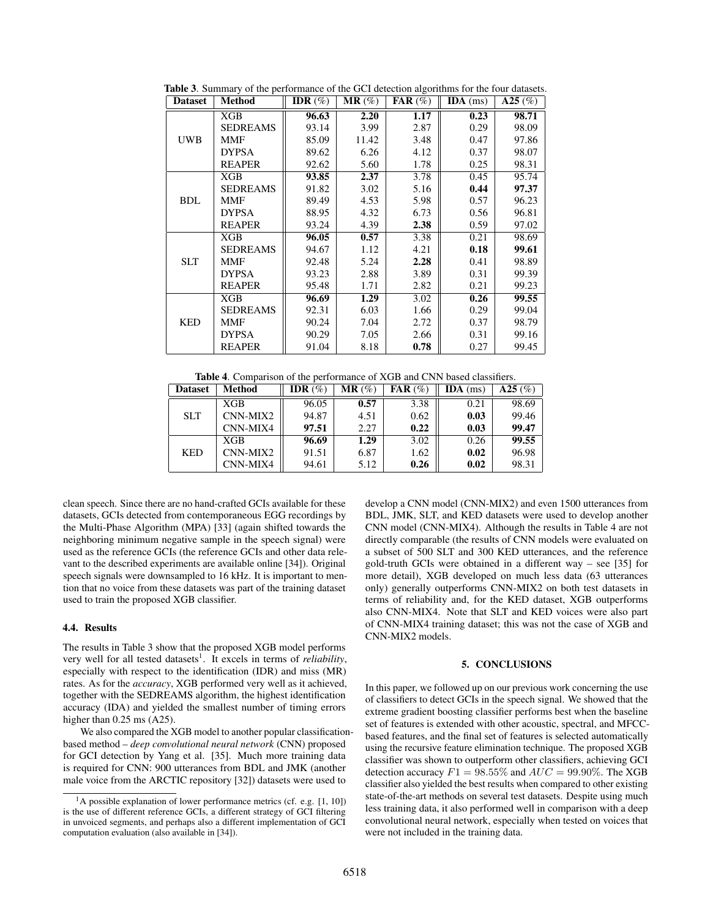| <b>Dataset</b> | <b>Method</b>   | IDR $(\%)$ | $MR(\%)$ | $\mathbf{FAR}$ (%) | $IDA$ (ms) | $\overline{A}25$ (%) |
|----------------|-----------------|------------|----------|--------------------|------------|----------------------|
| <b>UWB</b>     | XGB             | 96.63      | 2.20     | 1.17               | 0.23       | 98.71                |
|                | SEDREAMS        | 93.14      | 3.99     | 2.87               | 0.29       | 98.09                |
|                | MMF             | 85.09      | 11.42    | 3.48               | 0.47       | 97.86                |
|                | <b>DYPSA</b>    | 89.62      | 6.26     | 4.12               | 0.37       | 98.07                |
|                | <b>REAPER</b>   | 92.62      | 5.60     | 1.78               | 0.25       | 98.31                |
|                | <b>XGB</b>      | 93.85      | 2.37     | 3.78               | 0.45       | 95.74                |
|                | <b>SEDREAMS</b> | 91.82      | 3.02     | 5.16               | 0.44       | 97.37                |
| <b>BDL</b>     | MMF             | 89.49      | 4.53     | 5.98               | 0.57       | 96.23                |
|                | <b>DYPSA</b>    | 88.95      | 4.32     | 6.73               | 0.56       | 96.81                |
|                | <b>REAPER</b>   | 93.24      | 4.39     | 2.38               | 0.59       | 97.02                |
|                | XGB             | 96.05      | 0.57     | 3.38               | 0.21       | 98.69                |
|                | <b>SEDREAMS</b> | 94.67      | 1.12     | 4.21               | 0.18       | 99.61                |
| <b>SLT</b>     | <b>MMF</b>      | 92.48      | 5.24     | 2.28               | 0.41       | 98.89                |
|                | <b>DYPSA</b>    | 93.23      | 2.88     | 3.89               | 0.31       | 99.39                |
|                | <b>REAPER</b>   | 95.48      | 1.71     | 2.82               | 0.21       | 99.23                |
| <b>KED</b>     | XGB             | 96.69      | 1.29     | 3.02               | 0.26       | 99.55                |
|                | <b>SEDREAMS</b> | 92.31      | 6.03     | 1.66               | 0.29       | 99.04                |
|                | MMF             | 90.24      | 7.04     | 2.72               | 0.37       | 98.79                |
|                | <b>DYPSA</b>    | 90.29      | 7.05     | 2.66               | 0.31       | 99.16                |
|                | <b>REAPER</b>   | 91.04      | 8.18     | 0.78               | 0.27       | 99.45                |

Table 3. Summary of the performance of the GCI detection algorithms for the four datasets.

Table 4. Comparison of the performance of XGB and CNN based classifiers.

| <b>Dataset</b> | Method     | IDR $(\%)$ | $MR(\%)$ | $\mathbf{FAR}$ (%) | $IDA$ (ms) | A25(%) |
|----------------|------------|------------|----------|--------------------|------------|--------|
| <b>SLT</b>     | XGB        | 96.05      | 0.57     | 3.38               | 0.21       | 98.69  |
|                | CNN-MIX2   | 94.87      | 4.51     | 0.62               | 0.03       | 99.46  |
|                | CNN-MIX4   | 97.51      | 2.27     | 0.22               | 0.03       | 99.47  |
| <b>KED</b>     | <b>XGB</b> | 96.69      | 1.29     | 3.02               | 0.26       | 99.55  |
|                | CNN-MIX2   | 91.51      | 6.87     | 1.62               | 0.02       | 96.98  |
|                | CNN-MIX4   | 94.61      | 5.12     | 0.26               | 0.02       | 98.31  |

clean speech. Since there are no hand-crafted GCIs available for these datasets, GCIs detected from contemporaneous EGG recordings by the Multi-Phase Algorithm (MPA) [33] (again shifted towards the neighboring minimum negative sample in the speech signal) were used as the reference GCIs (the reference GCIs and other data relevant to the described experiments are available online [34]). Original speech signals were downsampled to 16 kHz. It is important to mention that no voice from these datasets was part of the training dataset used to train the proposed XGB classifier.

## 4.4. Results

The results in Table 3 show that the proposed XGB model performs very well for all tested datasets<sup>1</sup>. It excels in terms of *reliability*, especially with respect to the identification (IDR) and miss (MR) rates. As for the *accuracy*, XGB performed very well as it achieved, together with the SEDREAMS algorithm, the highest identification accuracy (IDA) and yielded the smallest number of timing errors higher than  $0.25$  ms (A25).

We also compared the XGB model to another popular classificationbased method – *deep convolutional neural network* (CNN) proposed for GCI detection by Yang et al. [35]. Much more training data is required for CNN: 900 utterances from BDL and JMK (another male voice from the ARCTIC repository [32]) datasets were used to

develop a CNN model (CNN-MIX2) and even 1500 utterances from BDL, JMK, SLT, and KED datasets were used to develop another CNN model (CNN-MIX4). Although the results in Table 4 are not directly comparable (the results of CNN models were evaluated on a subset of 500 SLT and 300 KED utterances, and the reference gold-truth GCIs were obtained in a different way – see [35] for more detail), XGB developed on much less data (63 utterances only) generally outperforms CNN-MIX2 on both test datasets in terms of reliability and, for the KED dataset, XGB outperforms also CNN-MIX4. Note that SLT and KED voices were also part of CNN-MIX4 training dataset; this was not the case of XGB and CNN-MIX2 models.

## 5. CONCLUSIONS

In this paper, we followed up on our previous work concerning the use of classifiers to detect GCIs in the speech signal. We showed that the extreme gradient boosting classifier performs best when the baseline set of features is extended with other acoustic, spectral, and MFCCbased features, and the final set of features is selected automatically using the recursive feature elimination technique. The proposed XGB classifier was shown to outperform other classifiers, achieving GCI detection accuracy  $F1 = 98.55\%$  and  $AUC = 99.90\%$ . The XGB classifier also yielded the best results when compared to other existing state-of-the-art methods on several test datasets. Despite using much less training data, it also performed well in comparison with a deep convolutional neural network, especially when tested on voices that were not included in the training data.

<sup>&</sup>lt;sup>1</sup>A possible explanation of lower performance metrics (cf. e.g.  $[1, 10]$ ) is the use of different reference GCIs, a different strategy of GCI filtering in unvoiced segments, and perhaps also a different implementation of GCI computation evaluation (also available in [34]).